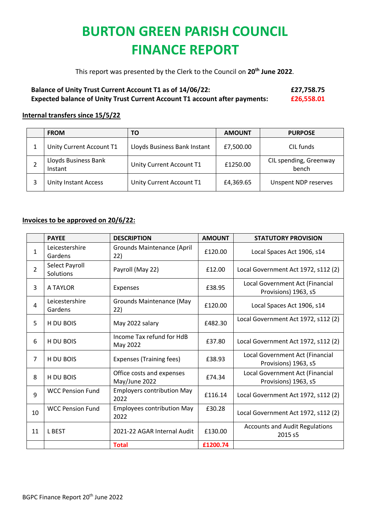## **BURTON GREEN PARISH COUNCIL FINANCE REPORT**

This report was presented by the Clerk to the Council on **20th June 2022**.

## **Balance of Unity Trust Current Account T1 as of 14/06/22: £27,758.75 Expected balance of Unity Trust Current Account T1 account after payments: £26,558.01**

## **Internal transfers since 15/5/22**

| <b>FROM</b>                     | ΤО                           | <b>AMOUNT</b> | <b>PURPOSE</b>                  |
|---------------------------------|------------------------------|---------------|---------------------------------|
| Unity Current Account T1        | Lloyds Business Bank Instant | £7,500.00     | CIL funds                       |
| Lloyds Business Bank<br>Instant | Unity Current Account T1     | £1250.00      | CIL spending, Greenway<br>bench |
| <b>Unity Instant Access</b>     | Unity Current Account T1     | £4,369.65     | Unspent NDP reserves            |

## **Invoices to be approved on 20/6/22:**

|                | <b>PAYEE</b>                | <b>DESCRIPTION</b>                         | <b>AMOUNT</b> | <b>STATUTORY PROVISION</b>                              |
|----------------|-----------------------------|--------------------------------------------|---------------|---------------------------------------------------------|
| 1              | Leicestershire<br>Gardens   | <b>Grounds Maintenance (April</b><br>22)   | £120.00       | Local Spaces Act 1906, s14                              |
| $\overline{2}$ | Select Payroll<br>Solutions | Payroll (May 22)                           | £12.00        | Local Government Act 1972, s112 (2)                     |
| 3              | A TAYLOR                    | Expenses                                   | £38.95        | Local Government Act (Financial<br>Provisions) 1963, s5 |
| $\overline{4}$ | Leicestershire<br>Gardens   | <b>Grounds Maintenance (May</b><br>22)     | £120.00       | Local Spaces Act 1906, s14                              |
| 5              | H DU BOIS                   | May 2022 salary                            | £482.30       | Local Government Act 1972, s112 (2)                     |
| 6              | H DU BOIS                   | Income Tax refund for HdB<br>May 2022      | £37.80        | Local Government Act 1972, s112 (2)                     |
| $\overline{7}$ | H DU BOIS                   | <b>Expenses (Training fees)</b>            | £38.93        | Local Government Act (Financial<br>Provisions) 1963, s5 |
| 8              | H DU BOIS                   | Office costs and expenses<br>May/June 2022 | £74.34        | Local Government Act (Financial<br>Provisions) 1963, s5 |
| 9              | <b>WCC Pension Fund</b>     | <b>Employers contribution May</b><br>2022  | £116.14       | Local Government Act 1972, s112 (2)                     |
| 10             | <b>WCC Pension Fund</b>     | <b>Employees contribution May</b><br>2022  | £30.28        | Local Government Act 1972, s112 (2)                     |
| 11             | <b>LBEST</b>                | 2021-22 AGAR Internal Audit                | £130.00       | <b>Accounts and Audit Regulations</b><br>2015 s5        |
|                |                             | <b>Total</b>                               | £1200.74      |                                                         |